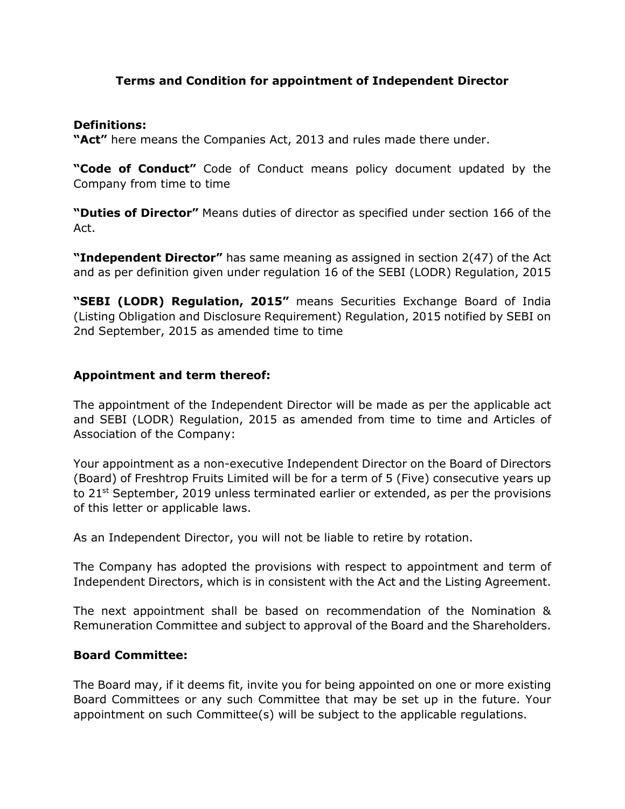### Terms and Condition for appointment of Independent Director

#### Definitions:

"Act" here means the Companies Act, 2013 and rules made there under.

"Code of Conduct" Code of Conduct means policy document updated by the Company from time to time

"Duties of Director" Means duties of director as specified under section 166 of the Act.

"Independent Director" has same meaning as assigned in section 2(47) of the Act and as per definition given under regulation 16 of the SEBI (LODR) Regulation, 2015

"SEBI (LODR) Regulation, 2015" means Securities Exchange Board of India (Listing Obligation and Disclosure Requirement) Regulation, 2015 notified by SEBI on 2nd September, 2015 as amended time to time

#### Appointment and term thereof:

The appointment of the Independent Director will be made as per the applicable act and SEBI (LODR) Regulation, 2015 as amended from time to time and Articles of Association of the Company:

Your appointment as a non-executive Independent Director on the Board of Directors (Board) of Freshtrop Fruits Limited will be for a term of 5 (Five) consecutive years up to  $21^{st}$  September, 2019 unless terminated earlier or extended, as per the provisions of this letter or applicable laws.

As an Independent Director, you will not be liable to retire by rotation.

The Company has adopted the provisions with respect to appointment and term of Independent Directors, which is in consistent with the Act and the Listing Agreement.

The next appointment shall be based on recommendation of the Nomination & Remuneration Committee and subject to approval of the Board and the Shareholders.

#### Board Committee:

The Board may, if it deems fit, invite you for being appointed on one or more existing Board Committees or any such Committee that may be set up in the future. Your appointment on such Committee(s) will be subject to the applicable regulations.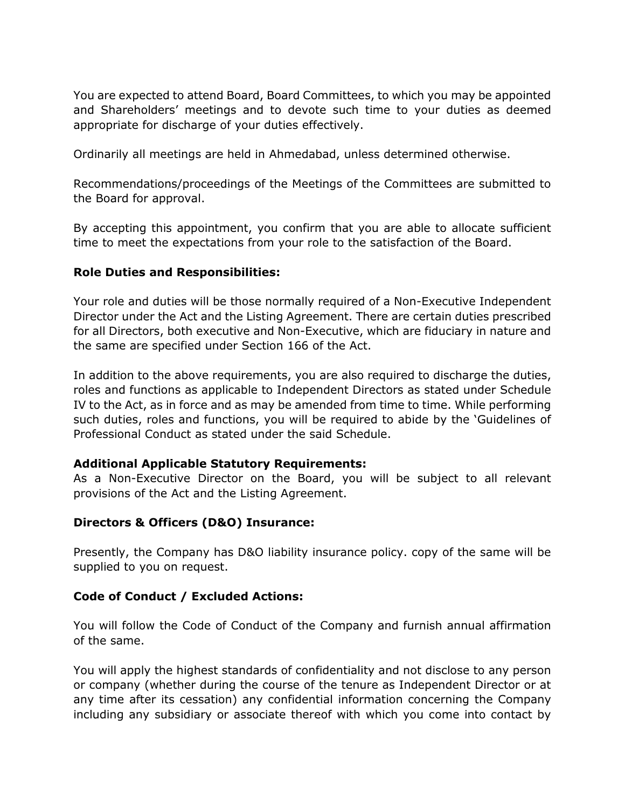You are expected to attend Board, Board Committees, to which you may be appointed and Shareholders' meetings and to devote such time to your duties as deemed appropriate for discharge of your duties effectively.

Ordinarily all meetings are held in Ahmedabad, unless determined otherwise.

Recommendations/proceedings of the Meetings of the Committees are submitted to the Board for approval.

By accepting this appointment, you confirm that you are able to allocate sufficient time to meet the expectations from your role to the satisfaction of the Board.

#### Role Duties and Responsibilities:

Your role and duties will be those normally required of a Non-Executive Independent Director under the Act and the Listing Agreement. There are certain duties prescribed for all Directors, both executive and Non-Executive, which are fiduciary in nature and the same are specified under Section 166 of the Act.

In addition to the above requirements, you are also required to discharge the duties, roles and functions as applicable to Independent Directors as stated under Schedule IV to the Act, as in force and as may be amended from time to time. While performing such duties, roles and functions, you will be required to abide by the 'Guidelines of Professional Conduct as stated under the said Schedule.

#### Additional Applicable Statutory Requirements:

As a Non-Executive Director on the Board, you will be subject to all relevant provisions of the Act and the Listing Agreement.

#### Directors & Officers (D&O) Insurance:

Presently, the Company has D&O liability insurance policy. copy of the same will be supplied to you on request.

#### Code of Conduct / Excluded Actions:

You will follow the Code of Conduct of the Company and furnish annual affirmation of the same.

You will apply the highest standards of confidentiality and not disclose to any person or company (whether during the course of the tenure as Independent Director or at any time after its cessation) any confidential information concerning the Company including any subsidiary or associate thereof with which you come into contact by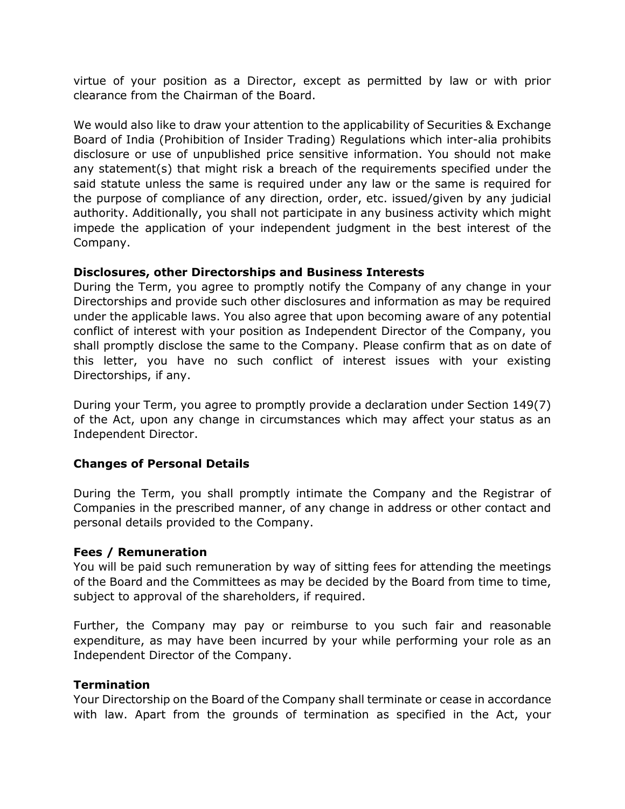virtue of your position as a Director, except as permitted by law or with prior clearance from the Chairman of the Board.

We would also like to draw your attention to the applicability of Securities & Exchange Board of India (Prohibition of Insider Trading) Regulations which inter-alia prohibits disclosure or use of unpublished price sensitive information. You should not make any statement(s) that might risk a breach of the requirements specified under the said statute unless the same is required under any law or the same is required for the purpose of compliance of any direction, order, etc. issued/given by any judicial authority. Additionally, you shall not participate in any business activity which might impede the application of your independent judgment in the best interest of the Company.

#### Disclosures, other Directorships and Business Interests

During the Term, you agree to promptly notify the Company of any change in your Directorships and provide such other disclosures and information as may be required under the applicable laws. You also agree that upon becoming aware of any potential conflict of interest with your position as Independent Director of the Company, you shall promptly disclose the same to the Company. Please confirm that as on date of this letter, you have no such conflict of interest issues with your existing Directorships, if any.

During your Term, you agree to promptly provide a declaration under Section 149(7) of the Act, upon any change in circumstances which may affect your status as an Independent Director.

# Changes of Personal Details

During the Term, you shall promptly intimate the Company and the Registrar of Companies in the prescribed manner, of any change in address or other contact and personal details provided to the Company.

#### Fees / Remuneration

You will be paid such remuneration by way of sitting fees for attending the meetings of the Board and the Committees as may be decided by the Board from time to time, subject to approval of the shareholders, if required.

Further, the Company may pay or reimburse to you such fair and reasonable expenditure, as may have been incurred by your while performing your role as an Independent Director of the Company.

#### **Termination**

Your Directorship on the Board of the Company shall terminate or cease in accordance with law. Apart from the grounds of termination as specified in the Act, your